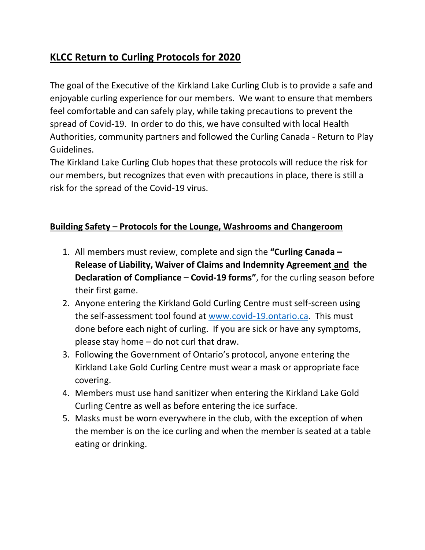## **KLCC Return to Curling Protocols for 2020**

The goal of the Executive of the Kirkland Lake Curling Club is to provide a safe and enjoyable curling experience for our members. We want to ensure that members feel comfortable and can safely play, while taking precautions to prevent the spread of Covid-19. In order to do this, we have consulted with local Health Authorities, community partners and followed the Curling Canada - Return to Play Guidelines.

The Kirkland Lake Curling Club hopes that these protocols will reduce the risk for our members, but recognizes that even with precautions in place, there is still a risk for the spread of the Covid-19 virus.

## **Building Safety – Protocols for the Lounge, Washrooms and Changeroom**

- 1. All members must review, complete and sign the **"Curling Canada – Release of Liability, Waiver of Claims and Indemnity Agreement and the Declaration of Compliance – Covid-19 forms"**, for the curling season before their first game.
- 2. Anyone entering the Kirkland Gold Curling Centre must self-screen using the self-assessment tool found at [www.covid-19.ontario.ca.](http://www.covid-19.ontario.ca/) This must done before each night of curling. If you are sick or have any symptoms, please stay home – do not curl that draw.
- 3. Following the Government of Ontario's protocol, anyone entering the Kirkland Lake Gold Curling Centre must wear a mask or appropriate face covering.
- 4. Members must use hand sanitizer when entering the Kirkland Lake Gold Curling Centre as well as before entering the ice surface.
- 5. Masks must be worn everywhere in the club, with the exception of when the member is on the ice curling and when the member is seated at a table eating or drinking.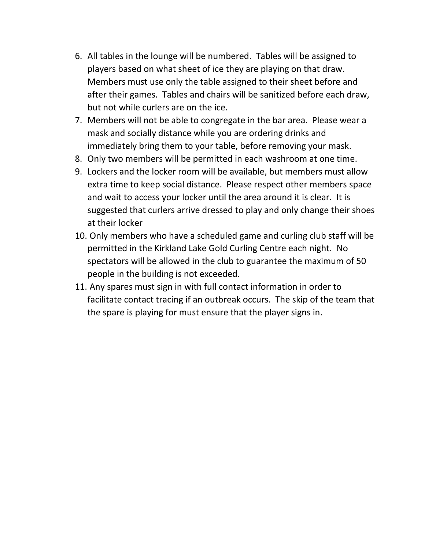- 6. All tables in the lounge will be numbered. Tables will be assigned to players based on what sheet of ice they are playing on that draw. Members must use only the table assigned to their sheet before and after their games. Tables and chairs will be sanitized before each draw, but not while curlers are on the ice.
- 7. Members will not be able to congregate in the bar area. Please wear a mask and socially distance while you are ordering drinks and immediately bring them to your table, before removing your mask.
- 8. Only two members will be permitted in each washroom at one time.
- 9. Lockers and the locker room will be available, but members must allow extra time to keep social distance. Please respect other members space and wait to access your locker until the area around it is clear. It is suggested that curlers arrive dressed to play and only change their shoes at their locker
- 10. Only members who have a scheduled game and curling club staff will be permitted in the Kirkland Lake Gold Curling Centre each night. No spectators will be allowed in the club to guarantee the maximum of 50 people in the building is not exceeded.
- 11. Any spares must sign in with full contact information in order to facilitate contact tracing if an outbreak occurs. The skip of the team that the spare is playing for must ensure that the player signs in.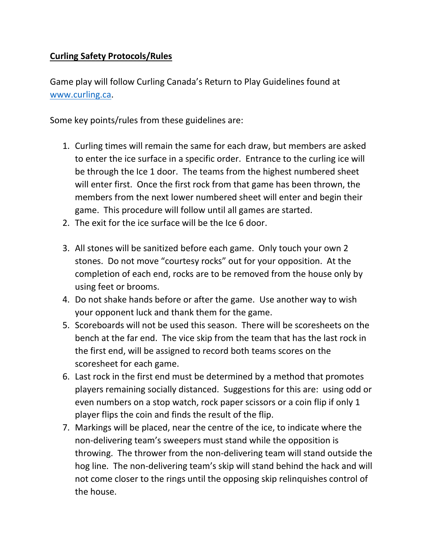## **Curling Safety Protocols/Rules**

Game play will follow Curling Canada's Return to Play Guidelines found at [www.curling.ca.](http://www.curling.ca/)

Some key points/rules from these guidelines are:

- 1. Curling times will remain the same for each draw, but members are asked to enter the ice surface in a specific order. Entrance to the curling ice will be through the Ice 1 door. The teams from the highest numbered sheet will enter first. Once the first rock from that game has been thrown, the members from the next lower numbered sheet will enter and begin their game. This procedure will follow until all games are started.
- 2. The exit for the ice surface will be the Ice 6 door.
- 3. All stones will be sanitized before each game. Only touch your own 2 stones. Do not move "courtesy rocks" out for your opposition. At the completion of each end, rocks are to be removed from the house only by using feet or brooms.
- 4. Do not shake hands before or after the game. Use another way to wish your opponent luck and thank them for the game.
- 5. Scoreboards will not be used this season. There will be scoresheets on the bench at the far end. The vice skip from the team that has the last rock in the first end, will be assigned to record both teams scores on the scoresheet for each game.
- 6. Last rock in the first end must be determined by a method that promotes players remaining socially distanced. Suggestions for this are: using odd or even numbers on a stop watch, rock paper scissors or a coin flip if only 1 player flips the coin and finds the result of the flip.
- 7. Markings will be placed, near the centre of the ice, to indicate where the non-delivering team's sweepers must stand while the opposition is throwing. The thrower from the non-delivering team will stand outside the hog line. The non-delivering team's skip will stand behind the hack and will not come closer to the rings until the opposing skip relinquishes control of the house.